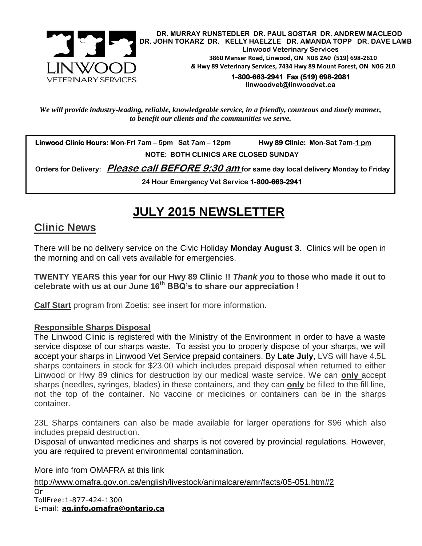

 **DR. MURRAY RUNSTEDLER DR. PAUL SOSTAR DR. ANDREW MACLEOD DR. JOHN TOKARZ DR. KELLY HAELZLE DR. AMANDA TOPP DR. DAVE LAMB Linwood Veterinary Services 3860 Manser Road, Linwood, ON N0B 2A0 (519) 698-2610** *&* **Hwy 89 Veterinary Services, 7434 Hwy 89 Mount Forest, ON N0G 2L0**

**1-800-663-2941 Fax (519) 698-2081 [linwoodvet@linwoodvet.ca](mailto:linwoodvet@linwoodvet.ca)**

*We will provide industry-leading, reliable, knowledgeable service, in a friendly, courteous and timely manner, to benefit our clients and the communities we serve.*

 **Linwood Clinic Hours: Mon-Fri 7am – 5pm Sat 7am – 12pm Hwy 89 Clinic: Mon-Sat 7am-1 pm NOTE: BOTH CLINICS ARE CLOSED SUNDAY**

 **Orders for Delivery: Please call BEFORE 9:30 am for same day local delivery Monday to Friday** 

**24 Hour Emergency Vet Service 1-800-663-2941** 

# **JULY 2015 NEWSLETTER**

## **Clinic News**

There will be no delivery service on the Civic Holiday **Monday August 3**. Clinics will be open in the morning and on call vets available for emergencies.

**TWENTY YEARS this year for our Hwy 89 Clinic !!** *Thank you* **to those who made it out to celebrate with us at our June 16th BBQ's to share our appreciation !**

**Calf Start** program from Zoetis: see insert for more information.

#### **Responsible Sharps Disposal**

The Linwood Clinic is registered with the Ministry of the Environment in order to have a waste service dispose of our sharps waste. To assist you to properly dispose of your sharps, we will accept your sharps in Linwood Vet Service prepaid containers. By **Late July**, LVS will have 4.5L sharps containers in stock for \$23.00 which includes prepaid disposal when returned to either Linwood or Hwy 89 clinics for destruction by our medical waste service. We can **only** accept sharps (needles, syringes, blades) in these containers, and they can **only** be filled to the fill line, not the top of the container. No vaccine or medicines or containers can be in the sharps container.

23L Sharps containers can also be made available for larger operations for \$96 which also includes prepaid destruction.

Disposal of unwanted medicines and sharps is not covered by provincial regulations. However, you are required to prevent environmental contamination.

More info from OMAFRA at this link

<http://www.omafra.gov.on.ca/english/livestock/animalcare/amr/facts/05-051.htm#2> Or TollFree:1-877-424-1300 E-mail: **[ag.info.omafra@ontario.ca](mailto:ag.info.omafra@ontario.ca)**